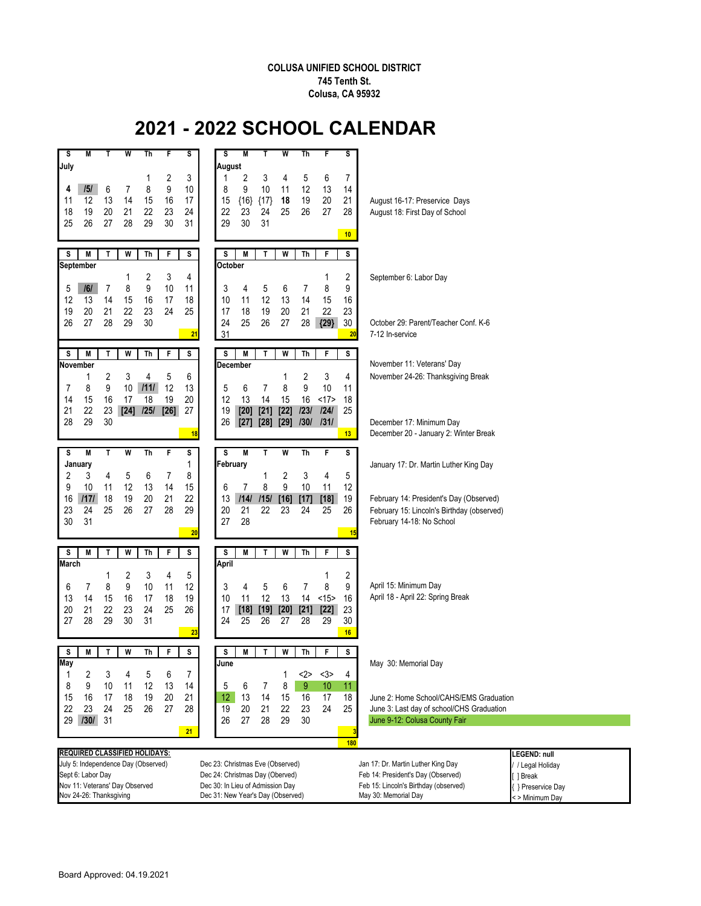## **COLUSA UNIFIED SCHOOL DISTRICT 745 Tenth St. Colusa, CA 95932**

## **2021 - 2022 SCHOOL CALENDAR**

| M<br>T<br>W<br>s<br>Th<br>F<br>July                                                                                                                                                                   | W<br>S<br>M<br>Th<br>s<br>т<br>F<br>s<br>August                                                                                                                                                                                                                                                 |                                                                                                                                               |  |
|-------------------------------------------------------------------------------------------------------------------------------------------------------------------------------------------------------|-------------------------------------------------------------------------------------------------------------------------------------------------------------------------------------------------------------------------------------------------------------------------------------------------|-----------------------------------------------------------------------------------------------------------------------------------------------|--|
| 2<br>1<br>9<br>6<br>7<br>8<br> 5 <br>4<br>12<br>13<br>14<br>15<br>16<br>11<br>19<br>20<br>18<br>21<br>22<br>23<br>25<br>26<br>27<br>28<br>29<br>30                                                    | 3<br>2<br>3<br>5<br>6<br>4<br>7<br>1<br>9<br>10<br>12<br>13<br>10<br>8<br>11<br>14<br>19<br>20<br>17<br>15<br>${16}$<br>${17}$<br>18<br>21<br>27<br>24<br>22<br>23<br>24<br>25<br>26<br>28<br>30<br>31<br>31<br>29<br>10                                                                        | August 16-17: Preservice Days<br>August 18: First Day of School                                                                               |  |
| S<br>M<br>T<br>W<br>Th<br>F                                                                                                                                                                           | S<br>s<br>M<br>T<br>W<br>Th<br>F<br>S                                                                                                                                                                                                                                                           |                                                                                                                                               |  |
| <b>September</b><br>2<br>3<br>1<br>9<br>10<br>7<br>8<br>5<br> 6 <br>13<br>16<br>12<br>14<br>15<br>17<br>19<br>20<br>21<br>22<br>23<br>24<br>26<br>27<br>28<br>29<br>30                                | October<br>4<br>2<br>1<br>8<br>9<br>11<br>3<br>5<br>4<br>6<br>7<br>12<br>18<br>11<br>13<br>16<br>10<br>14<br>15<br>25<br>18<br>19<br>20<br>21<br>22<br>23<br>17<br>25<br>24<br>26<br>27<br>28<br>${29}$<br>30                                                                                   | September 6: Labor Day<br>October 29: Parent/Teacher Conf. K-6                                                                                |  |
|                                                                                                                                                                                                       | 31<br>21<br>20                                                                                                                                                                                                                                                                                  | 7-12 In-service                                                                                                                               |  |
| M<br>W<br>F<br>s<br>T<br>Th<br>November<br>3<br>5<br>2<br>4<br>1<br>9<br>1111<br>8<br>10<br>12<br>7<br>16<br>17<br>18<br>14<br>15<br>19<br>22<br>23<br>$[24]$<br>$[26]$                               | S<br>s<br>M<br>T<br>W<br>F<br>s<br>Th<br>December<br>6<br>2<br>3<br>4<br>1<br>8<br>9<br>13<br>5<br>$\overline{7}$<br>10<br>6<br>11<br>20<br>12<br>13<br>14<br>15<br>16<br><17><br>18<br>$[20]$<br>$[22]$<br>1231<br>124/<br>25<br>27<br>19                                                      | November 11: Veterans' Day<br>November 24-26: Thanksgiving Break                                                                              |  |
| 21<br> 25 <br>29<br>28<br>30                                                                                                                                                                          | $[21]$<br>26<br>[28]<br>$[29]$<br>130/<br>1311<br>$[27]$<br>13<br>18                                                                                                                                                                                                                            | December 17: Minimum Day<br>December 20 - January 2: Winter Break                                                                             |  |
| S<br>M<br>т<br>W<br>Th<br>F<br>January<br>2<br>3<br>4<br>5<br>6<br>7<br>12<br>13<br>14<br>9<br>10<br>11                                                                                               | S<br>s<br>M<br>T<br>W<br>F<br>s<br>Th<br>February<br>1<br>8<br>2<br>3<br>4<br>5<br>1<br>9<br>$\overline{7}$<br>8<br>15<br>6<br>10<br>11<br>12                                                                                                                                                   | January 17: Dr. Martin Luther King Day                                                                                                        |  |
| 1171<br>18<br>19<br>20<br>21<br>16<br>25<br>23<br>24<br>26<br>27<br>28<br>30<br>31                                                                                                                    | 22<br>13<br>1141<br>115/<br>$[16]$<br>$[18]$<br>19<br>$[17]$<br>21<br>29<br>20<br>22<br>23<br>24<br>25<br>26<br>27<br>28<br>20<br>15                                                                                                                                                            | February 14: President's Day (Observed)<br>February 15: Lincoln's Birthday (observed)<br>February 14-18: No School                            |  |
| M<br>s<br>T<br>W<br>Th<br>F<br><b>March</b><br>2<br>3<br>4<br>1<br>8<br>9<br>10<br>7<br>11<br>6<br>14<br>17<br>18<br>13<br>15<br>16<br>22<br>20<br>21<br>23<br>24<br>25<br>29<br>30<br>28<br>31<br>27 | W<br>s<br>S<br>M<br>T<br>F<br>s<br>Th<br>April<br>5<br>2<br>1<br>8<br>12<br>3<br>$\overline{7}$<br>9<br>5<br>6<br>4<br>10<br>11<br>12<br>13<br><15><br>19<br>14<br>16<br>26<br>17<br>$[18]$<br>$[19]$<br>$[20]$<br>$[21]$<br>$[22]$<br>23<br>24<br>25<br>26<br>27<br>28<br>29<br>30<br>23<br>16 | April 15: Minimum Day<br>April 18 - April 22: Spring Break                                                                                    |  |
| M<br>T<br>W<br>Th<br>F<br>s                                                                                                                                                                           | S<br>M<br>W<br>F<br>s<br>s<br>Т<br>Th                                                                                                                                                                                                                                                           |                                                                                                                                               |  |
| May<br>1<br>2<br>3<br>5<br>4<br>6<br>8<br>9<br>13<br>10<br>11<br>12<br>16<br>15<br>17<br>18<br>19<br>20<br>24<br>22<br>23<br>25<br>26<br>27<br>29<br>31<br>130/                                       | June<br><3><br>7<br><2><br>4<br>1<br>8<br>5<br>7<br>9<br>14<br>6<br>10<br>11<br>13<br>21<br>12<br>14<br>15<br>16<br>17<br>18<br>24<br>28<br>20<br>21<br>22<br>23<br>25<br>19<br>27<br>28<br>29<br>30<br>26<br>21<br>з                                                                           | May 30: Memorial Day<br>June 2: Home School/CAHS/EMS Graduation<br>June 3: Last day of school/CHS Graduation<br>June 9-12: Colusa County Fair |  |
| <b>REQUIRED CLASSIFIED HOLIDAYS:</b>                                                                                                                                                                  | 180                                                                                                                                                                                                                                                                                             | EGEND: null                                                                                                                                   |  |
| July 5: Independence Day (Observed)                                                                                                                                                                   | Dec 23: Christmas Eve (Observed)                                                                                                                                                                                                                                                                | Jan 17: Dr. Martin Luther King Day<br>/ Legal Holiday                                                                                         |  |
| Sept 6: Labor Day<br>Nov 11: Veterans' Day Observed                                                                                                                                                   | Dec 24: Christmas Day (Oberved)<br>Dec 30: In Lieu of Admission Day                                                                                                                                                                                                                             | Feb 14: President's Day (Observed)<br>] Break<br>Feb 15: Lincoln's Birthday (observed)<br>{ } Preservice Day                                  |  |
| Nov 24-26: Thanksgiving                                                                                                                                                                               | Dec 31: New Year's Day (Observed)                                                                                                                                                                                                                                                               | May 30: Memorial Day<br><>Minimum Day                                                                                                         |  |